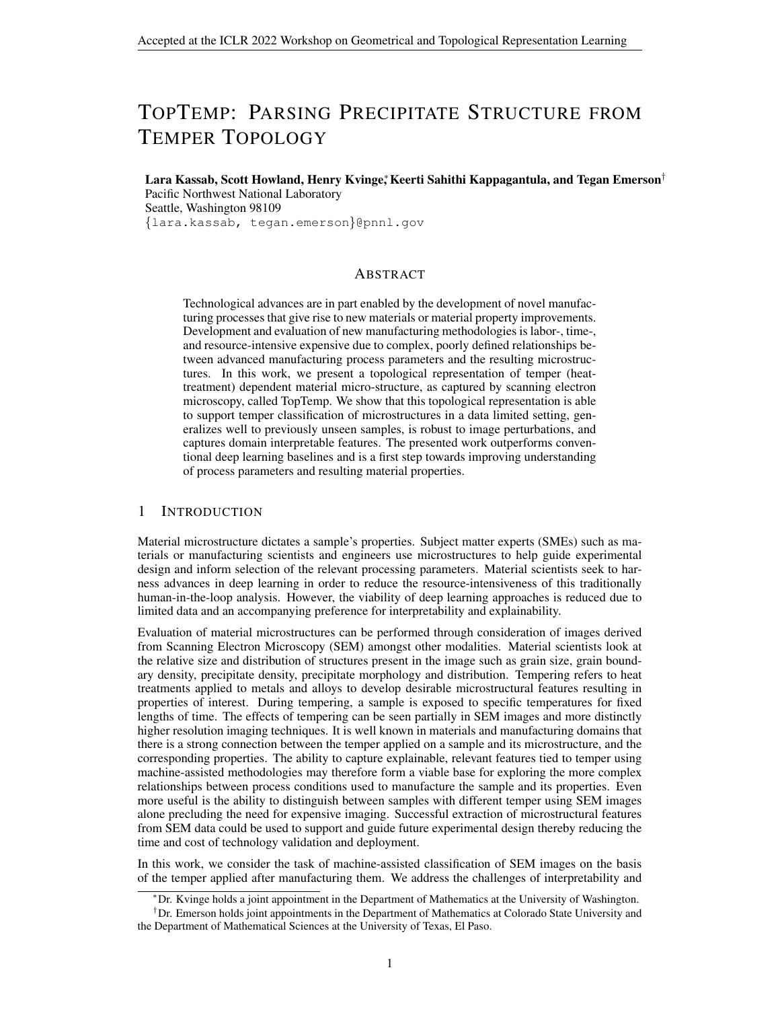# TOPTEMP: PARSING PRECIPITATE STRUCTURE FROM TEMPER TOPOLOGY

Lara Kassab, Scott Howland, Henry Kvinge,\* Keerti Sahithi Kappagantula, and Tegan Emerson† Pacific Northwest National Laboratory Seattle, Washington 98109 {lara.kassab, tegan.emerson}@pnnl.gov

## ABSTRACT

Technological advances are in part enabled by the development of novel manufacturing processes that give rise to new materials or material property improvements. Development and evaluation of new manufacturing methodologies is labor-, time-, and resource-intensive expensive due to complex, poorly defined relationships between advanced manufacturing process parameters and the resulting microstructures. In this work, we present a topological representation of temper (heattreatment) dependent material micro-structure, as captured by scanning electron microscopy, called TopTemp. We show that this topological representation is able to support temper classification of microstructures in a data limited setting, generalizes well to previously unseen samples, is robust to image perturbations, and captures domain interpretable features. The presented work outperforms conventional deep learning baselines and is a first step towards improving understanding of process parameters and resulting material properties.

## 1 INTRODUCTION

Material microstructure dictates a sample's properties. Subject matter experts (SMEs) such as materials or manufacturing scientists and engineers use microstructures to help guide experimental design and inform selection of the relevant processing parameters. Material scientists seek to harness advances in deep learning in order to reduce the resource-intensiveness of this traditionally human-in-the-loop analysis. However, the viability of deep learning approaches is reduced due to limited data and an accompanying preference for interpretability and explainability.

Evaluation of material microstructures can be performed through consideration of images derived from Scanning Electron Microscopy (SEM) amongst other modalities. Material scientists look at the relative size and distribution of structures present in the image such as grain size, grain boundary density, precipitate density, precipitate morphology and distribution. Tempering refers to heat treatments applied to metals and alloys to develop desirable microstructural features resulting in properties of interest. During tempering, a sample is exposed to specific temperatures for fixed lengths of time. The effects of tempering can be seen partially in SEM images and more distinctly higher resolution imaging techniques. It is well known in materials and manufacturing domains that there is a strong connection between the temper applied on a sample and its microstructure, and the corresponding properties. The ability to capture explainable, relevant features tied to temper using machine-assisted methodologies may therefore form a viable base for exploring the more complex relationships between process conditions used to manufacture the sample and its properties. Even more useful is the ability to distinguish between samples with different temper using SEM images alone precluding the need for expensive imaging. Successful extraction of microstructural features from SEM data could be used to support and guide future experimental design thereby reducing the time and cost of technology validation and deployment.

In this work, we consider the task of machine-assisted classification of SEM images on the basis of the temper applied after manufacturing them. We address the challenges of interpretability and

<sup>∗</sup>Dr. Kvinge holds a joint appointment in the Department of Mathematics at the University of Washington.

 $<sup>†</sup>$ Dr. Emerson holds joint appointments in the Department of Mathematics at Colorado State University and</sup> the Department of Mathematical Sciences at the University of Texas, El Paso.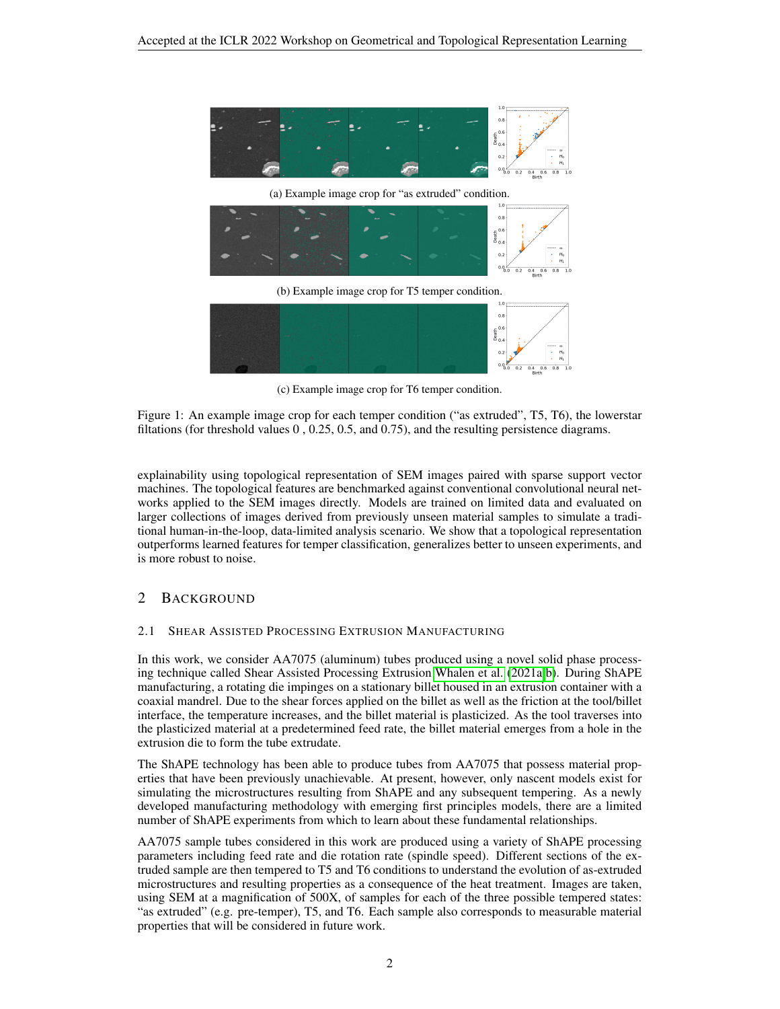<span id="page-1-0"></span>

(c) Example image crop for T6 temper condition.

Figure 1: An example image crop for each temper condition ("as extruded", T5, T6), the lowerstar filtations (for threshold values 0 , 0.25, 0.5, and 0.75), and the resulting persistence diagrams.

explainability using topological representation of SEM images paired with sparse support vector machines. The topological features are benchmarked against conventional convolutional neural networks applied to the SEM images directly. Models are trained on limited data and evaluated on larger collections of images derived from previously unseen material samples to simulate a traditional human-in-the-loop, data-limited analysis scenario. We show that a topological representation outperforms learned features for temper classification, generalizes better to unseen experiments, and is more robust to noise.

## 2 BACKGROUND

#### 2.1 SHEAR ASSISTED PROCESSING EXTRUSION MANUFACTURING

In this work, we consider AA7075 (aluminum) tubes produced using a novel solid phase processing technique called Shear Assisted Processing Extrusion [Whalen et al.](#page-4-0) [\(2021a;](#page-4-0)[b\)](#page-4-1). During ShAPE manufacturing, a rotating die impinges on a stationary billet housed in an extrusion container with a coaxial mandrel. Due to the shear forces applied on the billet as well as the friction at the tool/billet interface, the temperature increases, and the billet material is plasticized. As the tool traverses into the plasticized material at a predetermined feed rate, the billet material emerges from a hole in the extrusion die to form the tube extrudate.

The ShAPE technology has been able to produce tubes from AA7075 that possess material properties that have been previously unachievable. At present, however, only nascent models exist for simulating the microstructures resulting from ShAPE and any subsequent tempering. As a newly developed manufacturing methodology with emerging first principles models, there are a limited number of ShAPE experiments from which to learn about these fundamental relationships.

AA7075 sample tubes considered in this work are produced using a variety of ShAPE processing parameters including feed rate and die rotation rate (spindle speed). Different sections of the extruded sample are then tempered to T5 and T6 conditions to understand the evolution of as-extruded microstructures and resulting properties as a consequence of the heat treatment. Images are taken, using SEM at a magnification of 500X, of samples for each of the three possible tempered states: "as extruded" (e.g. pre-temper), T5, and T6. Each sample also corresponds to measurable material properties that will be considered in future work.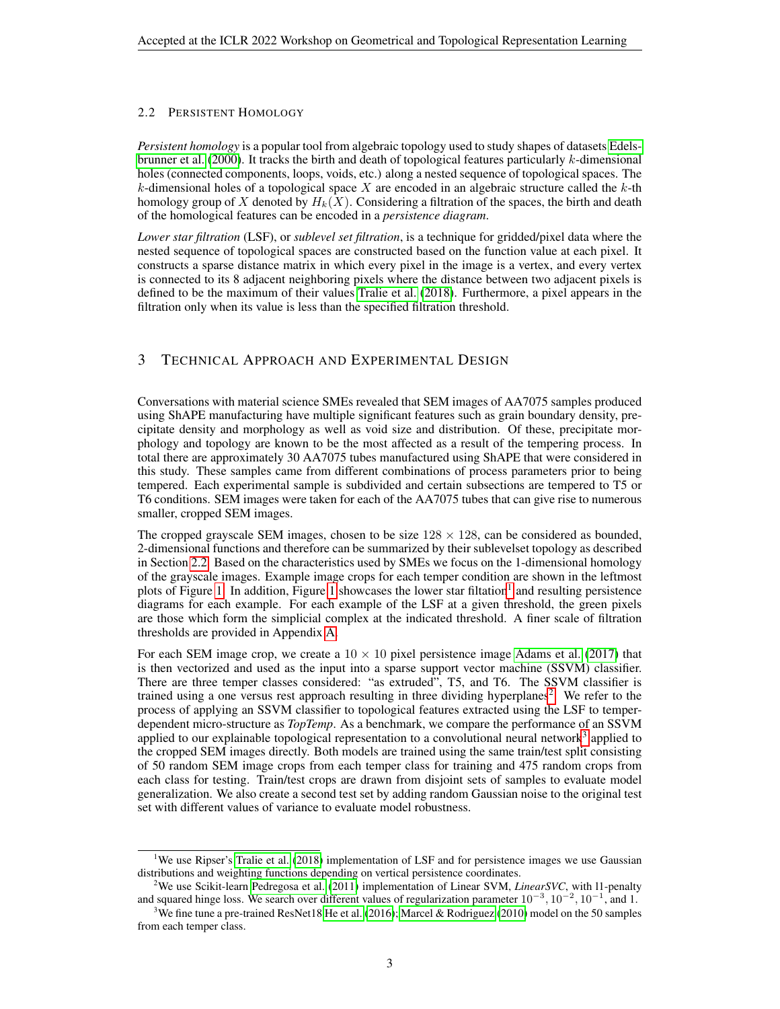#### <span id="page-2-0"></span>2.2 PERSISTENT HOMOLOGY

*Persistent homology* is a popular tool from algebraic topology used to study shapes of datasets [Edels](#page-4-2)[brunner et al.](#page-4-2) [\(2000\)](#page-4-2). It tracks the birth and death of topological features particularly  $k$ -dimensional holes (connected components, loops, voids, etc.) along a nested sequence of topological spaces. The k-dimensional holes of a topological space X are encoded in an algebraic structure called the  $k$ -th homology group of X denoted by  $H_k(X)$ . Considering a filtration of the spaces, the birth and death of the homological features can be encoded in a *persistence diagram*.

*Lower star filtration* (LSF), or *sublevel set filtration*, is a technique for gridded/pixel data where the nested sequence of topological spaces are constructed based on the function value at each pixel. It constructs a sparse distance matrix in which every pixel in the image is a vertex, and every vertex is connected to its 8 adjacent neighboring pixels where the distance between two adjacent pixels is defined to be the maximum of their values [Tralie et al.](#page-4-3) [\(2018\)](#page-4-3). Furthermore, a pixel appears in the filtration only when its value is less than the specified filtration threshold.

## 3 TECHNICAL APPROACH AND EXPERIMENTAL DESIGN

Conversations with material science SMEs revealed that SEM images of AA7075 samples produced using ShAPE manufacturing have multiple significant features such as grain boundary density, precipitate density and morphology as well as void size and distribution. Of these, precipitate morphology and topology are known to be the most affected as a result of the tempering process. In total there are approximately 30 AA7075 tubes manufactured using ShAPE that were considered in this study. These samples came from different combinations of process parameters prior to being tempered. Each experimental sample is subdivided and certain subsections are tempered to T5 or T6 conditions. SEM images were taken for each of the AA7075 tubes that can give rise to numerous smaller, cropped SEM images.

The cropped grayscale SEM images, chosen to be size  $128 \times 128$ , can be considered as bounded, 2-dimensional functions and therefore can be summarized by their sublevelset topology as described in Section [2.2.](#page-2-0) Based on the characteristics used by SMEs we focus on the 1-dimensional homology of the grayscale images. Example image crops for each temper condition are shown in the leftmost plots of Figure [1.](#page-1-0) In addition, Figure [1](#page-1-0) showcases the lower star filtation<sup>[1](#page-2-1)</sup> and resulting persistence diagrams for each example. For each example of the LSF at a given threshold, the green pixels are those which form the simplicial complex at the indicated threshold. A finer scale of filtration thresholds are provided in Appendix [A.](#page-4-4)

For each SEM image crop, we create a  $10 \times 10$  pixel persistence image [Adams et al.](#page-4-5) [\(2017\)](#page-4-5) that is then vectorized and used as the input into a sparse support vector machine (SSVM) classifier. There are three temper classes considered: "as extruded", T5, and T6. The SSVM classifier is trained using a one versus rest approach resulting in three dividing hyperplanes<sup>[2](#page-2-2)</sup>. We refer to the process of applying an SSVM classifier to topological features extracted using the LSF to temperdependent micro-structure as *TopTemp*. As a benchmark, we compare the performance of an SSVM applied to our explainable topological representation to a convolutional neural network<sup>[3](#page-2-3)</sup> applied to the cropped SEM images directly. Both models are trained using the same train/test split consisting of 50 random SEM image crops from each temper class for training and 475 random crops from each class for testing. Train/test crops are drawn from disjoint sets of samples to evaluate model generalization. We also create a second test set by adding random Gaussian noise to the original test set with different values of variance to evaluate model robustness.

<span id="page-2-1"></span><sup>&</sup>lt;sup>1</sup>We use Ripser's [Tralie et al.](#page-4-3) [\(2018\)](#page-4-3) implementation of LSF and for persistence images we use Gaussian distributions and weighting functions depending on vertical persistence coordinates.

<span id="page-2-2"></span><sup>2</sup>We use Scikit-learn [Pedregosa et al.](#page-4-6) [\(2011\)](#page-4-6) implementation of Linear SVM, *LinearSVC*, with l1-penalty and squared hinge loss. We search over different values of regularization parameter  $10^{-3}$ ,  $10^{-2}$ ,  $10^{-1}$ , and 1.

<span id="page-2-3"></span><sup>&</sup>lt;sup>3</sup>We fine tune a pre-trained ResNet18 [He et al.](#page-4-7) [\(2016\)](#page-4-7); [Marcel & Rodriguez](#page-4-8) [\(2010\)](#page-4-8) model on the 50 samples from each temper class.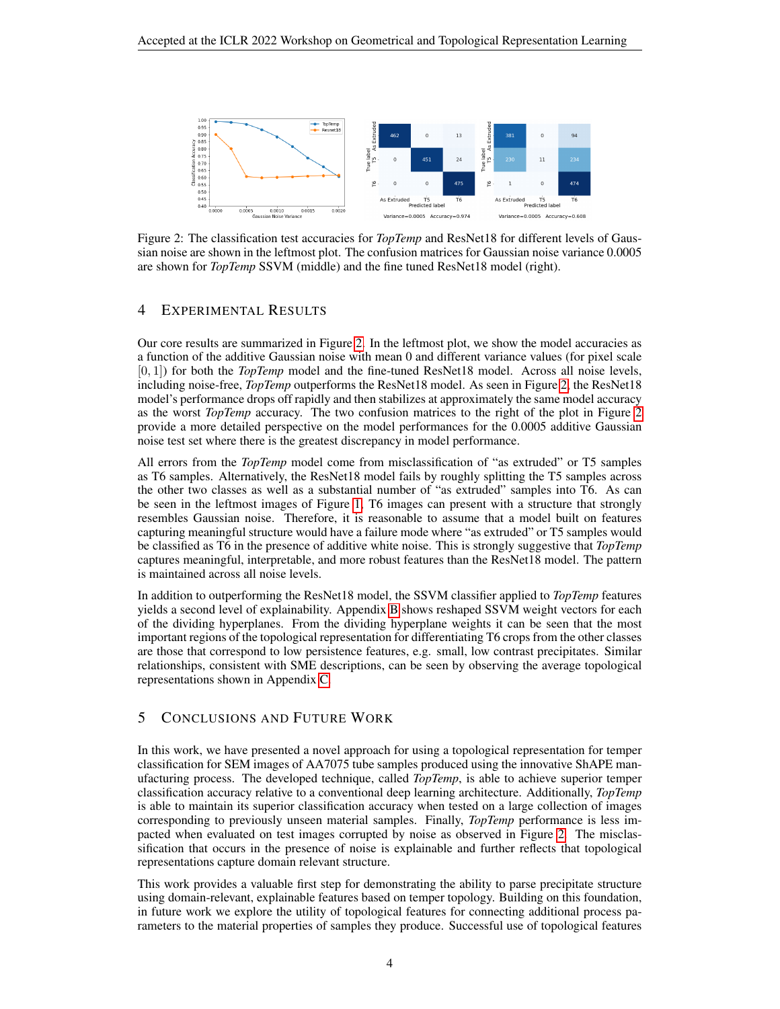<span id="page-3-0"></span>

Figure 2: The classification test accuracies for *TopTemp* and ResNet18 for different levels of Gaussian noise are shown in the leftmost plot. The confusion matrices for Gaussian noise variance 0.0005 are shown for *TopTemp* SSVM (middle) and the fine tuned ResNet18 model (right).

## 4 EXPERIMENTAL RESULTS

Our core results are summarized in Figure [2.](#page-3-0) In the leftmost plot, we show the model accuracies as a function of the additive Gaussian noise with mean 0 and different variance values (for pixel scale [0, 1]) for both the *TopTemp* model and the fine-tuned ResNet18 model. Across all noise levels, including noise-free, *TopTemp* outperforms the ResNet18 model. As seen in Figure [2,](#page-3-0) the ResNet18 model's performance drops off rapidly and then stabilizes at approximately the same model accuracy as the worst *TopTemp* accuracy. The two confusion matrices to the right of the plot in Figure [2](#page-3-0) provide a more detailed perspective on the model performances for the 0.0005 additive Gaussian noise test set where there is the greatest discrepancy in model performance.

All errors from the *TopTemp* model come from misclassification of "as extruded" or T5 samples as T6 samples. Alternatively, the ResNet18 model fails by roughly splitting the T5 samples across the other two classes as well as a substantial number of "as extruded" samples into T6. As can be seen in the leftmost images of Figure [1,](#page-1-0) T6 images can present with a structure that strongly resembles Gaussian noise. Therefore, it is reasonable to assume that a model built on features capturing meaningful structure would have a failure mode where "as extruded" or T5 samples would be classified as T6 in the presence of additive white noise. This is strongly suggestive that *TopTemp* captures meaningful, interpretable, and more robust features than the ResNet18 model. The pattern is maintained across all noise levels.

In addition to outperforming the ResNet18 model, the SSVM classifier applied to *TopTemp* features yields a second level of explainability. Appendix [B](#page-4-9) shows reshaped SSVM weight vectors for each of the dividing hyperplanes. From the dividing hyperplane weights it can be seen that the most important regions of the topological representation for differentiating T6 crops from the other classes are those that correspond to low persistence features, e.g. small, low contrast precipitates. Similar relationships, consistent with SME descriptions, can be seen by observing the average topological representations shown in Appendix [C.](#page-6-0)

## 5 CONCLUSIONS AND FUTURE WORK

In this work, we have presented a novel approach for using a topological representation for temper classification for SEM images of AA7075 tube samples produced using the innovative ShAPE manufacturing process. The developed technique, called *TopTemp*, is able to achieve superior temper classification accuracy relative to a conventional deep learning architecture. Additionally, *TopTemp* is able to maintain its superior classification accuracy when tested on a large collection of images corresponding to previously unseen material samples. Finally, *TopTemp* performance is less impacted when evaluated on test images corrupted by noise as observed in Figure [2.](#page-3-0) The misclassification that occurs in the presence of noise is explainable and further reflects that topological representations capture domain relevant structure.

This work provides a valuable first step for demonstrating the ability to parse precipitate structure using domain-relevant, explainable features based on temper topology. Building on this foundation, in future work we explore the utility of topological features for connecting additional process parameters to the material properties of samples they produce. Successful use of topological features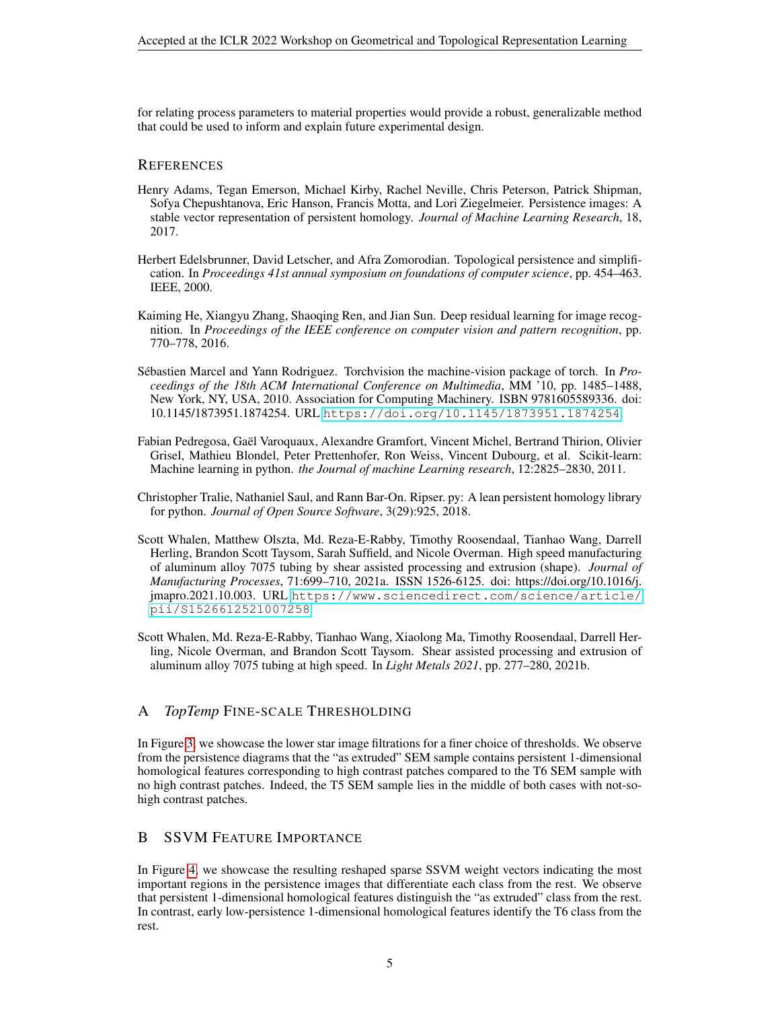for relating process parameters to material properties would provide a robust, generalizable method that could be used to inform and explain future experimental design.

#### **REFERENCES**

- <span id="page-4-5"></span>Henry Adams, Tegan Emerson, Michael Kirby, Rachel Neville, Chris Peterson, Patrick Shipman, Sofya Chepushtanova, Eric Hanson, Francis Motta, and Lori Ziegelmeier. Persistence images: A stable vector representation of persistent homology. *Journal of Machine Learning Research*, 18, 2017.
- <span id="page-4-2"></span>Herbert Edelsbrunner, David Letscher, and Afra Zomorodian. Topological persistence and simplification. In *Proceedings 41st annual symposium on foundations of computer science*, pp. 454–463. IEEE, 2000.
- <span id="page-4-7"></span>Kaiming He, Xiangyu Zhang, Shaoqing Ren, and Jian Sun. Deep residual learning for image recognition. In *Proceedings of the IEEE conference on computer vision and pattern recognition*, pp. 770–778, 2016.
- <span id="page-4-8"></span>Sébastien Marcel and Yann Rodriguez. Torchvision the machine-vision package of torch. In *Proceedings of the 18th ACM International Conference on Multimedia*, MM '10, pp. 1485–1488, New York, NY, USA, 2010. Association for Computing Machinery. ISBN 9781605589336. doi: 10.1145/1873951.1874254. URL <https://doi.org/10.1145/1873951.1874254>.
- <span id="page-4-6"></span>Fabian Pedregosa, Gael Varoquaux, Alexandre Gramfort, Vincent Michel, Bertrand Thirion, Olivier ¨ Grisel, Mathieu Blondel, Peter Prettenhofer, Ron Weiss, Vincent Dubourg, et al. Scikit-learn: Machine learning in python. *the Journal of machine Learning research*, 12:2825–2830, 2011.
- <span id="page-4-3"></span>Christopher Tralie, Nathaniel Saul, and Rann Bar-On. Ripser. py: A lean persistent homology library for python. *Journal of Open Source Software*, 3(29):925, 2018.
- <span id="page-4-0"></span>Scott Whalen, Matthew Olszta, Md. Reza-E-Rabby, Timothy Roosendaal, Tianhao Wang, Darrell Herling, Brandon Scott Taysom, Sarah Suffield, and Nicole Overman. High speed manufacturing of aluminum alloy 7075 tubing by shear assisted processing and extrusion (shape). *Journal of Manufacturing Processes*, 71:699–710, 2021a. ISSN 1526-6125. doi: https://doi.org/10.1016/j. jmapro.2021.10.003. URL [https://www.sciencedirect.com/science/article/](https://www.sciencedirect.com/science/article/pii/S1526612521007258) [pii/S1526612521007258](https://www.sciencedirect.com/science/article/pii/S1526612521007258).
- <span id="page-4-1"></span>Scott Whalen, Md. Reza-E-Rabby, Tianhao Wang, Xiaolong Ma, Timothy Roosendaal, Darrell Herling, Nicole Overman, and Brandon Scott Taysom. Shear assisted processing and extrusion of aluminum alloy 7075 tubing at high speed. In *Light Metals 2021*, pp. 277–280, 2021b.

## <span id="page-4-4"></span>A *TopTemp* FINE-SCALE THRESHOLDING

In Figure [3,](#page-5-0) we showcase the lower star image filtrations for a finer choice of thresholds. We observe from the persistence diagrams that the "as extruded" SEM sample contains persistent 1-dimensional homological features corresponding to high contrast patches compared to the T6 SEM sample with no high contrast patches. Indeed, the T5 SEM sample lies in the middle of both cases with not-sohigh contrast patches.

## <span id="page-4-9"></span>B SSVM FEATURE IMPORTANCE

In Figure [4,](#page-5-1) we showcase the resulting reshaped sparse SSVM weight vectors indicating the most important regions in the persistence images that differentiate each class from the rest. We observe that persistent 1-dimensional homological features distinguish the "as extruded" class from the rest. In contrast, early low-persistence 1-dimensional homological features identify the T6 class from the rest.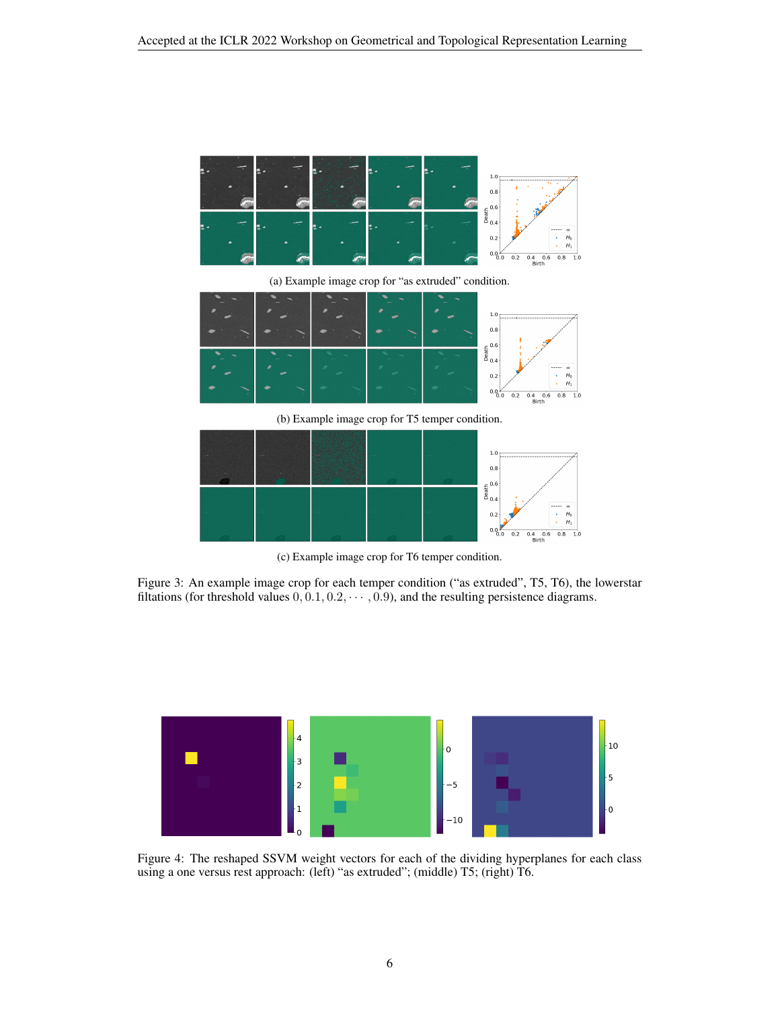<span id="page-5-0"></span>

 $0.2$ 

 $H_0$ <br> $H_1$ 

 $0.\overline{4}$  0.6 0.8 1.0<br>Birth

 $0.0$ 

 $0.2$ 

(c) Example image crop for T6 temper condition.

Figure 3: An example image crop for each temper condition ("as extruded", T5, T6), the lowerstar filtations (for threshold values  $0, 0.1, 0.2, \cdots, 0.9$ ), and the resulting persistence diagrams.

<span id="page-5-1"></span>

Figure 4: The reshaped SSVM weight vectors for each of the dividing hyperplanes for each class using a one versus rest approach: (left) "as extruded"; (middle) T5; (right) T6.